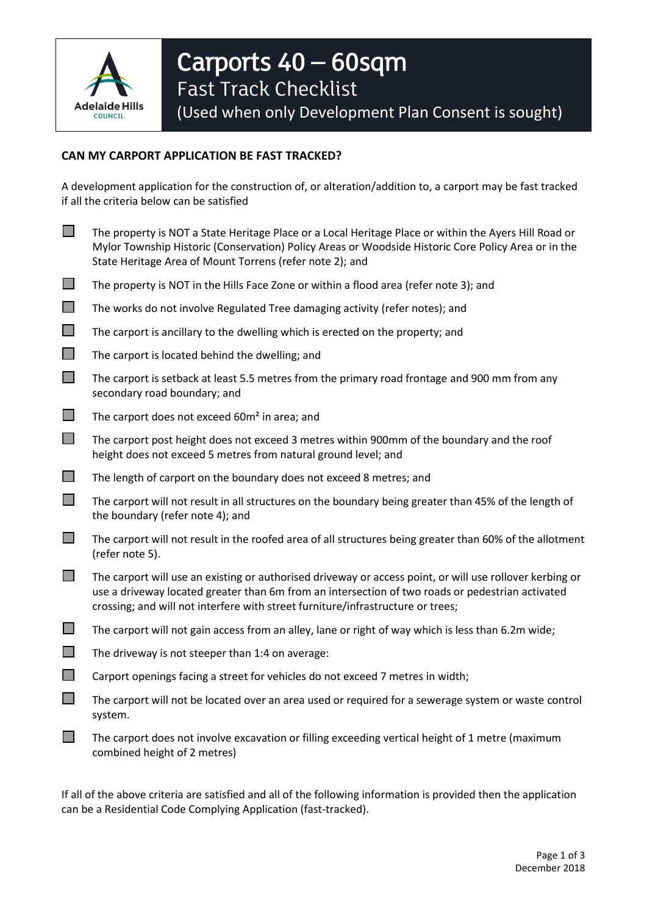

## **CAN MY CARPORT APPLICATION BE FAST TRACKED?**

A development application for the construction of, or alteration/addition to, a carport may be fast tracked if all the criteria below can be satisfied

- The property is NOT a State Heritage Place or a Local Heritage Place or within the Ayers Hill Road or Mylor Township Historic (Conservation) Policy Areas or Woodside Historic Core Policy Area or in the State Heritage Area of Mount Torrens (refer note 2); and
- $\Box$  The property is NOT in the Hills Face Zone or within a flood area (refer note 3); and
- The works do not involve Regulated Tree damaging activity (refer notes); and
- $\Box$  The carport is ancillary to the dwelling which is erected on the property; and
- $\Box$  The carport is located behind the dwelling; and
- $\Box$  The carport is setback at least 5.5 metres from the primary road frontage and 900 mm from any secondary road boundary; and
- $\Box$  The carport does not exceed 60 $m<sup>2</sup>$  in area; and
- The carport post height does not exceed 3 metres within 900mm of the boundary and the roof height does not exceed 5 metres from natural ground level; and
- $\Box$  The length of carport on the boundary does not exceed 8 metres; and
- $\Box$  The carport will not result in all structures on the boundary being greater than 45% of the length of the boundary (refer note 4); and
- $\Box$  The carport will not result in the roofed area of all structures being greater than 60% of the allotment (refer note 5).
- $\Box$  The carport will use an existing or authorised driveway or access point, or will use rollover kerbing or use a driveway located greater than 6m from an intersection of two roads or pedestrian activated crossing; and will not interfere with street furniture/infrastructure or trees;
- The carport will not gain access from an alley, lane or right of way which is less than 6.2m wide;
- $\Box$  The driveway is not steeper than 1:4 on average:
- $\Box$  Carport openings facing a street for vehicles do not exceed 7 metres in width;
- $\Box$  The carport will not be located over an area used or required for a sewerage system or waste control system.
- $\Box$  The carport does not involve excavation or filling exceeding vertical height of 1 metre (maximum combined height of 2 metres)

If all of the above criteria are satisfied and all of the following information is provided then the application can be a Residential Code Complying Application (fast-tracked).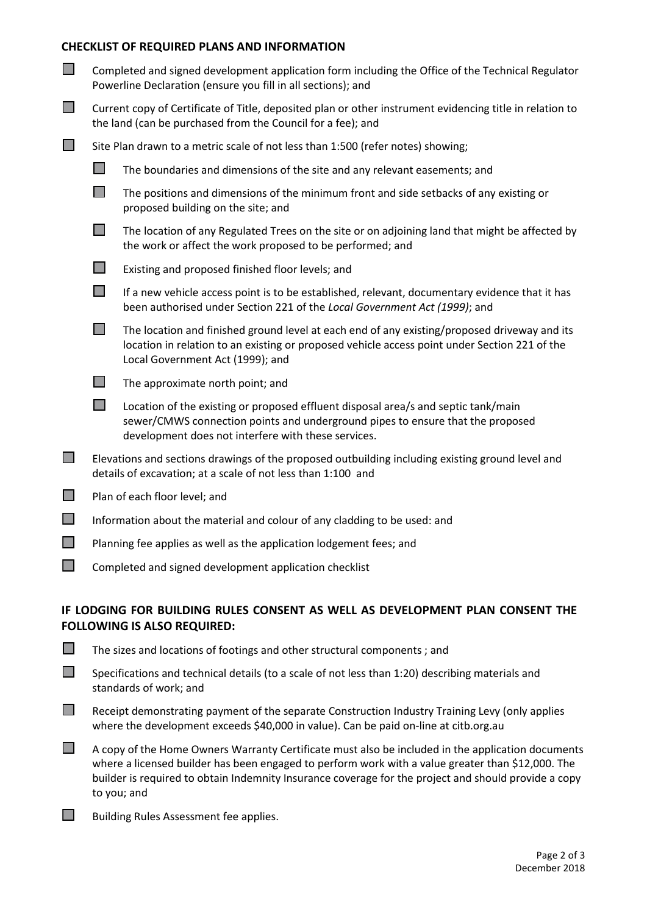## **CHECKLIST OF REQUIRED PLANS AND INFORMATION**

| $\mathcal{L}^{\mathcal{A}}$ | Completed and signed development application form including the Office of the Technical Regulator<br>Powerline Declaration (ensure you fill in all sections); and       |                                                                                                                                                                                                                                   |  |
|-----------------------------|-------------------------------------------------------------------------------------------------------------------------------------------------------------------------|-----------------------------------------------------------------------------------------------------------------------------------------------------------------------------------------------------------------------------------|--|
| $\mathcal{L}^{\mathcal{A}}$ | Current copy of Certificate of Title, deposited plan or other instrument evidencing title in relation to<br>the land (can be purchased from the Council for a fee); and |                                                                                                                                                                                                                                   |  |
| $\mathcal{L}^{\mathcal{L}}$ | Site Plan drawn to a metric scale of not less than 1:500 (refer notes) showing;                                                                                         |                                                                                                                                                                                                                                   |  |
|                             | П                                                                                                                                                                       | The boundaries and dimensions of the site and any relevant easements; and                                                                                                                                                         |  |
|                             | $\Box$                                                                                                                                                                  | The positions and dimensions of the minimum front and side setbacks of any existing or<br>proposed building on the site; and                                                                                                      |  |
|                             | $\Box$                                                                                                                                                                  | The location of any Regulated Trees on the site or on adjoining land that might be affected by<br>the work or affect the work proposed to be performed; and                                                                       |  |
|                             | $\Box$                                                                                                                                                                  | Existing and proposed finished floor levels; and                                                                                                                                                                                  |  |
|                             | $\Box$                                                                                                                                                                  | If a new vehicle access point is to be established, relevant, documentary evidence that it has<br>been authorised under Section 221 of the Local Government Act (1999); and                                                       |  |
|                             | $\mathbb{R}^n$                                                                                                                                                          | The location and finished ground level at each end of any existing/proposed driveway and its<br>location in relation to an existing or proposed vehicle access point under Section 221 of the<br>Local Government Act (1999); and |  |
|                             | T.                                                                                                                                                                      | The approximate north point; and                                                                                                                                                                                                  |  |
|                             | $\Box$                                                                                                                                                                  | Location of the existing or proposed effluent disposal area/s and septic tank/main<br>sewer/CMWS connection points and underground pipes to ensure that the proposed<br>development does not interfere with these services.       |  |
| $\Box$                      |                                                                                                                                                                         | Elevations and sections drawings of the proposed outbuilding including existing ground level and<br>details of excavation; at a scale of not less than 1:100 and                                                                  |  |
| $\mathcal{L}^{\mathcal{A}}$ |                                                                                                                                                                         | Plan of each floor level; and                                                                                                                                                                                                     |  |
| $\Box$                      | Information about the material and colour of any cladding to be used: and                                                                                               |                                                                                                                                                                                                                                   |  |
| <b>The State</b>            | Planning fee applies as well as the application lodgement fees; and                                                                                                     |                                                                                                                                                                                                                                   |  |

Completed and signed development application checklist

## **IF LODGING FOR BUILDING RULES CONSENT AS WELL AS DEVELOPMENT PLAN CONSENT THE FOLLOWING IS ALSO REQUIRED:**

| $\Box$ | Specifications and technical details (to a scale of not less than 1:20) describing materials and |  |
|--------|--------------------------------------------------------------------------------------------------|--|
|        | standards of work; and                                                                           |  |

 $\Box$  The sizes and locations of footings and other structural components : and

- $\Box$  Receipt demonstrating payment of the separate Construction Industry Training Levy (only applies where the development exceeds \$40,000 in value). Can be paid on-line at citb.org.au
- $\Box$  A copy of the Home Owners Warranty Certificate must also be included in the application documents where a licensed builder has been engaged to perform work with a value greater than \$12,000. The builder is required to obtain Indemnity Insurance coverage for the project and should provide a copy to you; and
- $\Box$  Building Rules Assessment fee applies.